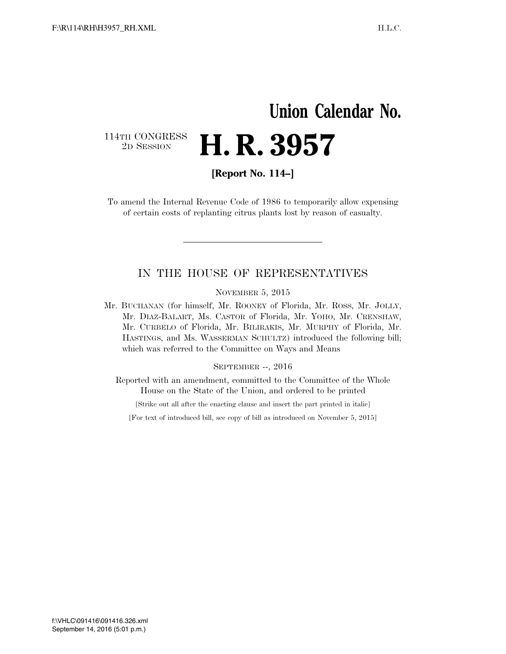## **Union Calendar No.**  114TH CONGRESS <sup>2D SESSION</sup> **H. R. 3957**

**[Report No. 114–]** 

To amend the Internal Revenue Code of 1986 to temporarily allow expensing of certain costs of replanting citrus plants lost by reason of casualty.

## IN THE HOUSE OF REPRESENTATIVES

NOVEMBER 5, 2015

Mr. BUCHANAN (for himself, Mr. ROONEY of Florida, Mr. ROSS, Mr. JOLLY, Mr. DIAZ-BALART, Ms. CASTOR of Florida, Mr. YOHO, Mr. CRENSHAW, Mr. CURBELO of Florida, Mr. BILIRAKIS, Mr. MURPHY of Florida, Mr. HASTINGS, and Ms. WASSERMAN SCHULTZ) introduced the following bill; which was referred to the Committee on Ways and Means

SEPTEMBER --, 2016

Reported with an amendment, committed to the Committee of the Whole House on the State of the Union, and ordered to be printed

[Strike out all after the enacting clause and insert the part printed in italic]

[For text of introduced bill, see copy of bill as introduced on November 5, 2015]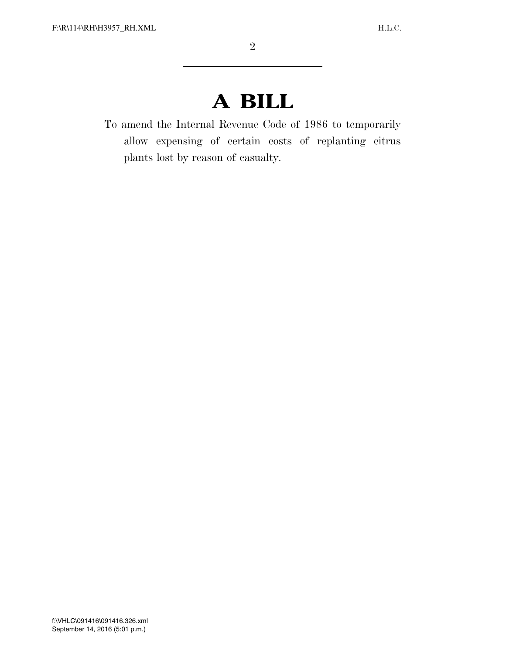## **A BILL**

To amend the Internal Revenue Code of 1986 to temporarily allow expensing of certain costs of replanting citrus plants lost by reason of casualty.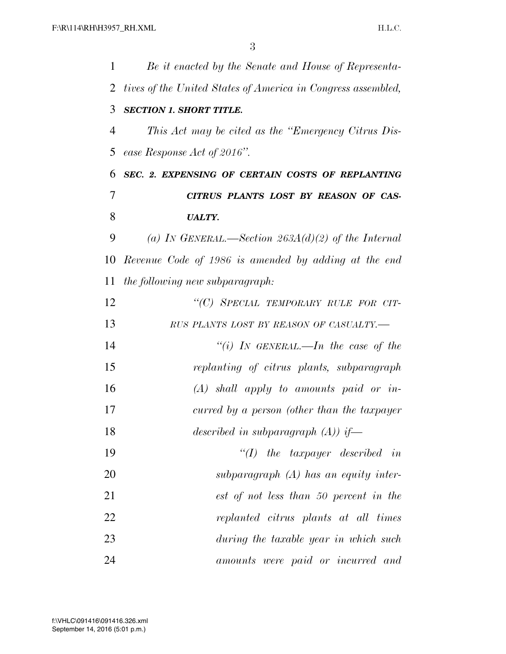| 1  | Be it enacted by the Senate and House of Representa-         |
|----|--------------------------------------------------------------|
| 2  | tives of the United States of America in Congress assembled, |
| 3  | <b>SECTION 1. SHORT TITLE.</b>                               |
| 4  | This Act may be cited as the "Emergency Citrus Dis-          |
| 5  | ease Response Act of 2016".                                  |
| 6  | SEC. 2. EXPENSING OF CERTAIN COSTS OF REPLANTING             |
| 7  | CITRUS PLANTS LOST BY REASON OF CAS-                         |
| 8  | <b>UALTY.</b>                                                |
| 9  | (a) IN GENERAL.—Section $263A(d)(2)$ of the Internal         |
| 10 | Revenue Code of 1986 is amended by adding at the end         |
| 11 | the following new subparagraph:                              |
| 12 | "(C) SPECIAL TEMPORARY RULE FOR CIT-                         |
| 13 | RUS PLANTS LOST BY REASON OF CASUALTY.-                      |
| 14 | "(i) IN GENERAL.—In the case of the                          |
| 15 | replanting of citrus plants, subparagraph                    |
| 16 | $(A)$ shall apply to amounts paid or in-                     |
| 17 | curred by a person (other than the taxpayer                  |
| 18 | described in subparagraph $(A)$ if—                          |
| 19 | $\lq (I)$ the taxpayer described in                          |
| 20 | subparagraph $(A)$ has an equity inter-                      |
| 21 | est of not less than 50 percent in the                       |
| 22 | replanted citrus plants at all times                         |
| 23 | during the taxable year in which such                        |
| 24 | amounts were paid or incurred and                            |